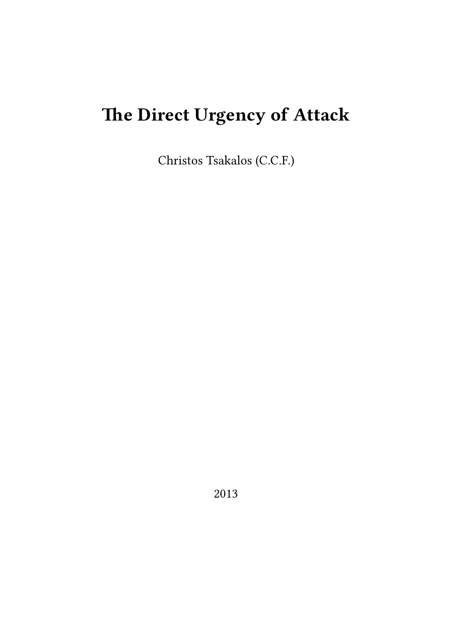# **The Direct Urgency of Attack**

Christos Tsakalos (C.C.F.)

2013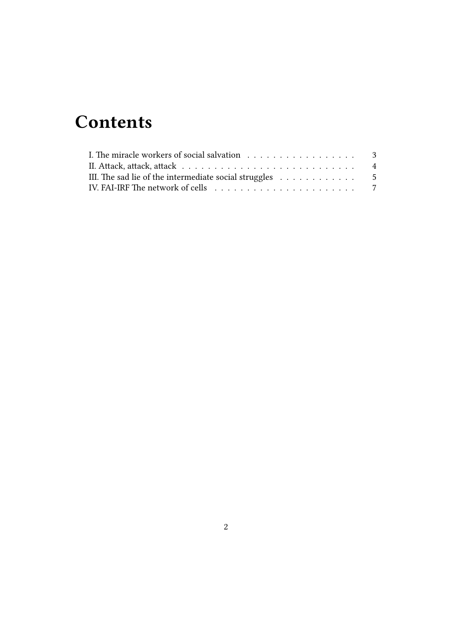## **Contents**

| III. The sad lie of the intermediate social struggles $\ldots \ldots \ldots \ldots$        |  |
|--------------------------------------------------------------------------------------------|--|
| IV. FAI-IRF The network of cells $\ldots \ldots \ldots \ldots \ldots \ldots \ldots \ldots$ |  |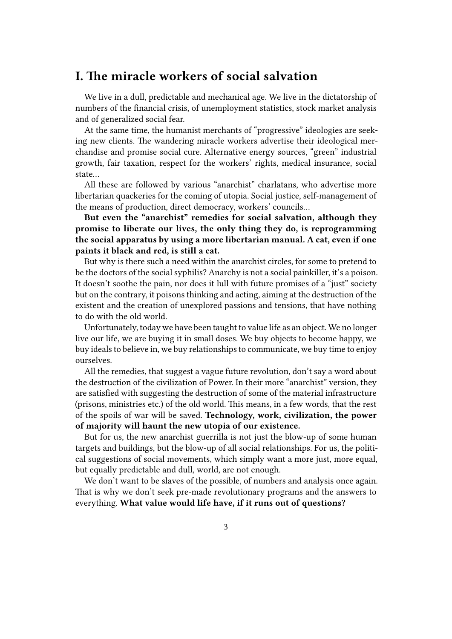## <span id="page-2-0"></span>**I. The miracle workers of social salvation**

We live in a dull, predictable and mechanical age. We live in the dictatorship of numbers of the financial crisis, of unemployment statistics, stock market analysis and of generalized social fear.

At the same time, the humanist merchants of "progressive" ideologies are seeking new clients. The wandering miracle workers advertise their ideological merchandise and promise social cure. Alternative energy sources, "green" industrial growth, fair taxation, respect for the workers' rights, medical insurance, social state…

All these are followed by various "anarchist" charlatans, who advertise more libertarian quackeries for the coming of utopia. Social justice, self-management of the means of production, direct democracy, workers' councils…

**But even the "anarchist" remedies for social salvation, although they promise to liberate our lives, the only thing they do, is reprogramming the social apparatus by using a more libertarian manual. A cat, even if one paints it black and red, is still a cat.**

But why is there such a need within the anarchist circles, for some to pretend to be the doctors of the social syphilis? Anarchy is not a social painkiller, it's a poison. It doesn't soothe the pain, nor does it lull with future promises of a "just" society but on the contrary, it poisons thinking and acting, aiming at the destruction of the existent and the creation of unexplored passions and tensions, that have nothing to do with the old world.

Unfortunately, today we have been taught to value life as an object. We no longer live our life, we are buying it in small doses. We buy objects to become happy, we buy ideals to believe in, we buy relationships to communicate, we buy time to enjoy ourselves.

All the remedies, that suggest a vague future revolution, don't say a word about the destruction of the civilization of Power. In their more "anarchist" version, they are satisfied with suggesting the destruction of some of the material infrastructure (prisons, ministries etc.) of the old world. This means, in a few words, that the rest of the spoils of war will be saved. **Technology, work, civilization, the power of majority will haunt the new utopia of our existence.**

But for us, the new anarchist guerrilla is not just the blow-up of some human targets and buildings, but the blow-up of all social relationships. For us, the political suggestions of social movements, which simply want a more just, more equal, but equally predictable and dull, world, are not enough.

We don't want to be slaves of the possible, of numbers and analysis once again. That is why we don't seek pre-made revolutionary programs and the answers to everything. **What value would life have, if it runs out of questions?**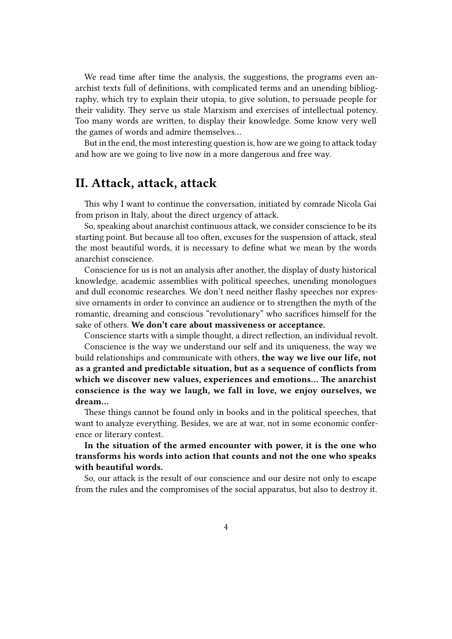We read time after time the analysis, the suggestions, the programs even anarchist texts full of definitions, with complicated terms and an unending bibliography, which try to explain their utopia, to give solution, to persuade people for their validity. They serve us stale Marxism and exercises of intellectual potency. Too many words are written, to display their knowledge. Some know very well the games of words and admire themselves…

But in the end, the most interesting question is, how are we going to attack today and how are we going to live now in a more dangerous and free way.

### **II. Attack, attack, attack**

This why I want to continue the conversation, initiated by comrade Nicola Gai from prison in Italy, about the direct urgency of attack.

So, speaking about anarchist continuous attack, we consider conscience to be its starting point. But because all too often, excuses for the suspension of attack, steal the most beautiful words, it is necessary to define what we mean by the words anarchist conscience.

Conscience for us is not an analysis after another, the display of dusty historical knowledge, academic assemblies with political speeches, unending monologues and dull economic researches. We don't need neither flashy speeches nor expressive ornaments in order to convince an audience or to strengthen the myth of the romantic, dreaming and conscious "revolutionary" who sacrifices himself for the sake of others. **We don't care about massiveness or acceptance.**

Conscience starts with a simple thought, a direct reflection, an individual revolt. Conscience is the way we understand our self and its uniqueness, the way we build relationships and communicate with others, **the way we live our life, not as a granted and predictable situation, but as a sequence of conflicts from which we discover new values, experiences and emotions… The anarchist conscience is the way we laugh, we fall in love, we enjoy ourselves, we dream…**

These things cannot be found only in books and in the political speeches, that want to analyze everything. Besides, we are at war, not in some economic conference or literary contest.

**In the situation of the armed encounter with power, it is the one who transforms his words into action that counts and not the one who speaks with beautiful words.**

So, our attack is the result of our conscience and our desire not only to escape from the rules and the compromises of the social apparatus, but also to destroy it.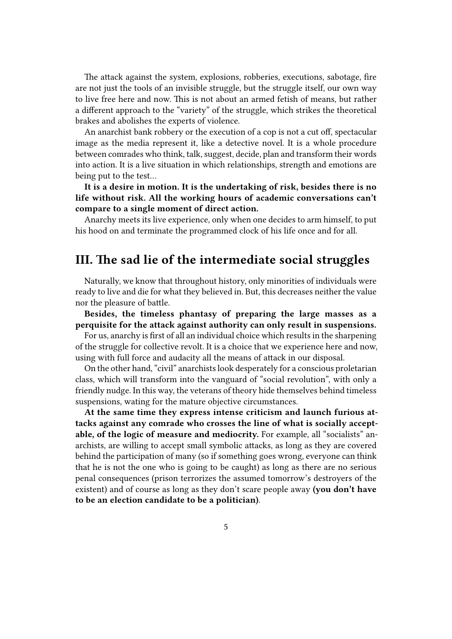The attack against the system, explosions, robberies, executions, sabotage, fire are not just the tools of an invisible struggle, but the struggle itself, our own way to live free here and now. This is not about an armed fetish of means, but rather a different approach to the "variety" of the struggle, which strikes the theoretical brakes and abolishes the experts of violence.

An anarchist bank robbery or the execution of a cop is not a cut off, spectacular image as the media represent it, like a detective novel. It is a whole procedure between comrades who think, talk, suggest, decide, plan and transform their words into action. It is a live situation in which relationships, strength and emotions are being put to the test…

**It is a desire in motion. It is the undertaking of risk, besides there is no life without risk. All the working hours of academic conversations can't compare to a single moment of direct action.**

Anarchy meets its live experience, only when one decides to arm himself, to put his hood on and terminate the programmed clock of his life once and for all.

### **III. The sad lie of the intermediate social struggles**

Naturally, we know that throughout history, only minorities of individuals were ready to live and die for what they believed in. But, this decreases neither the value nor the pleasure of battle.

**Besides, the timeless phantasy of preparing the large masses as a perquisite for the attack against authority can only result in suspensions.**

For us, anarchy is first of all an individual choice which results in the sharpening of the struggle for collective revolt. It is a choice that we experience here and now, using with full force and audacity all the means of attack in our disposal.

On the other hand, "civil" anarchists look desperately for a conscious proletarian class, which will transform into the vanguard of "social revolution", with only a friendly nudge. In this way, the veterans of theory hide themselves behind timeless suspensions, wating for the mature objective circumstances.

**At the same time they express intense criticism and launch furious attacks against any comrade who crosses the line of what is socially acceptable, of the logic of measure and mediocrity.** For example, all "socialists" anarchists, are willing to accept small symbolic attacks, as long as they are covered behind the participation of many (so if something goes wrong, everyone can think that he is not the one who is going to be caught) as long as there are no serious penal consequences (prison terrorizes the assumed tomorrow's destroyers of the existent) and of course as long as they don't scare people away **(you don't have to be an election candidate to be a politician)**.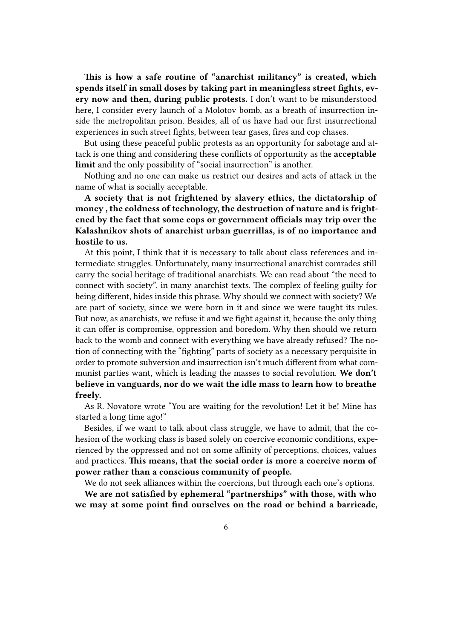**This is how a safe routine of "anarchist militancy" is created, which spends itself in small doses by taking part in meaningless street fights, every now and then, during public protests.** I don't want to be misunderstood here, I consider every launch of a Molotov bomb, as a breath of insurrection inside the metropolitan prison. Besides, all of us have had our first insurrectional experiences in such street fights, between tear gases, fires and cop chases.

But using these peaceful public protests as an opportunity for sabotage and attack is one thing and considering these conflicts of opportunity as the **acceptable limit** and the only possibility of "social insurrection" is another.

Nothing and no one can make us restrict our desires and acts of attack in the name of what is socially acceptable.

**A society that is not frightened by slavery ethics, the dictatorship of money , the coldness of technology, the destruction of nature and is frightened by the fact that some cops or government officials may trip over the Kalashnikov shots of anarchist urban guerrillas, is of no importance and hostile to us.**

At this point, I think that it is necessary to talk about class references and intermediate struggles. Unfortunately, many insurrectional anarchist comrades still carry the social heritage of traditional anarchists. We can read about "the need to connect with society", in many anarchist texts. The complex of feeling guilty for being different, hides inside this phrase. Why should we connect with society? We are part of society, since we were born in it and since we were taught its rules. But now, as anarchists, we refuse it and we fight against it, because the only thing it can offer is compromise, oppression and boredom. Why then should we return back to the womb and connect with everything we have already refused? The notion of connecting with the "fighting" parts of society as a necessary perquisite in order to promote subversion and insurrection isn't much different from what communist parties want, which is leading the masses to social revolution. **We don't believe in vanguards, nor do we wait the idle mass to learn how to breathe freely.**

As R. Novatore wrote "You are waiting for the revolution! Let it be! Mine has started a long time ago!"

Besides, if we want to talk about class struggle, we have to admit, that the cohesion of the working class is based solely on coercive economic conditions, experienced by the oppressed and not on some affinity of perceptions, choices, values and practices. **This means, that the social order is more a coercive norm of power rather than a conscious community of people.**

We do not seek alliances within the coercions, but through each one's options.

**We are not satisfied by ephemeral "partnerships" with those, with who we may at some point find ourselves on the road or behind a barricade,**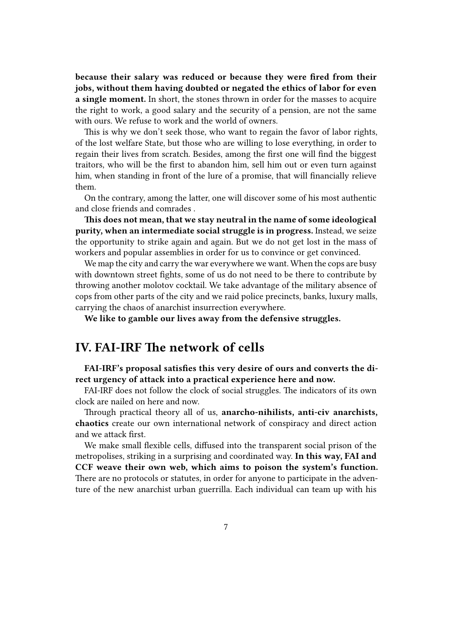**because their salary was reduced or because they were fired from their jobs, without them having doubted or negated the ethics of labor for even a single moment.** In short, the stones thrown in order for the masses to acquire the right to work, a good salary and the security of a pension, are not the same with ours. We refuse to work and the world of owners.

This is why we don't seek those, who want to regain the favor of labor rights, of the lost welfare State, but those who are willing to lose everything, in order to regain their lives from scratch. Besides, among the first one will find the biggest traitors, who will be the first to abandon him, sell him out or even turn against him, when standing in front of the lure of a promise, that will financially relieve them.

On the contrary, among the latter, one will discover some of his most authentic and close friends and comrades .

**This does not mean, that we stay neutral in the name of some ideological purity, when an intermediate social struggle is in progress.** Instead, we seize the opportunity to strike again and again. But we do not get lost in the mass of workers and popular assemblies in order for us to convince or get convinced.

We map the city and carry the war everywhere we want. When the cops are busy with downtown street fights, some of us do not need to be there to contribute by throwing another molotov cocktail. We take advantage of the military absence of cops from other parts of the city and we raid police precincts, banks, luxury malls, carrying the chaos of anarchist insurrection everywhere.

**We like to gamble our lives away from the defensive struggles.**

## **IV. FAI-IRF The network of cells**

**FAI-IRF's proposal satisfies this very desire of ours and converts the direct urgency of attack into a practical experience here and now.**

FAI-IRF does not follow the clock of social struggles. The indicators of its own clock are nailed on here and now.

Through practical theory all of us, **anarcho-nihilists, anti-civ anarchists, chaotics** create our own international network of conspiracy and direct action and we attack first.

We make small flexible cells, diffused into the transparent social prison of the metropolises, striking in a surprising and coordinated way. **In this way, FAI and CCF weave their own web, which aims to poison the system's function.** There are no protocols or statutes, in order for anyone to participate in the adventure of the new anarchist urban guerrilla. Each individual can team up with his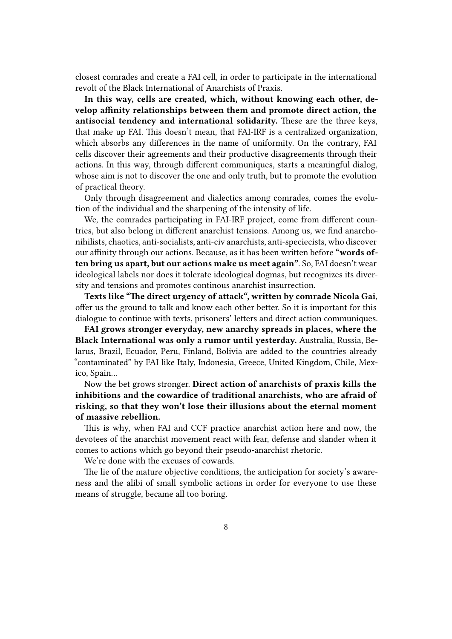closest comrades and create a FAI cell, in order to participate in the international revolt of the Black International of Anarchists of Praxis.

**In this way, cells are created, which, without knowing each other, develop affinity relationships between them and promote direct action, the antisocial tendency and international solidarity.** These are the three keys, that make up FAI. This doesn't mean, that FAI-IRF is a centralized organization, which absorbs any differences in the name of uniformity. On the contrary, FAI cells discover their agreements and their productive disagreements through their actions. In this way, through different communiques, starts a meaningful dialog, whose aim is not to discover the one and only truth, but to promote the evolution of practical theory.

Only through disagreement and dialectics among comrades, comes the evolution of the individual and the sharpening of the intensity of life.

We, the comrades participating in FAI-IRF project, come from different countries, but also belong in different anarchist tensions. Among us, we find anarchonihilists, chaotics, anti-socialists, anti-civ anarchists, anti-speciecists, who discover our affinity through our actions. Because, as it has been written before **"words often bring us apart, but our actions make us meet again"**. So, FAI doesn't wear ideological labels nor does it tolerate ideological dogmas, but recognizes its diversity and tensions and promotes continous anarchist insurrection.

**Texts like "The direct urgency of attack", written by comrade Nicola Gai**, offer us the ground to talk and know each other better. So it is important for this dialogue to continue with texts, prisoners' letters and direct action communiques.

**FAI grows stronger everyday, new anarchy spreads in places, where the Black International was only a rumor until yesterday.** Australia, Russia, Belarus, Brazil, Ecuador, Peru, Finland, Bolivia are added to the countries already "contaminated" by FAI like Italy, Indonesia, Greece, United Kingdom, Chile, Mexico, Spain…

Now the bet grows stronger. **Direct action of anarchists of praxis kills the inhibitions and the cowardice of traditional anarchists, who are afraid of risking, so that they won't lose their illusions about the eternal moment of massive rebellion.**

This is why, when FAI and CCF practice anarchist action here and now, the devotees of the anarchist movement react with fear, defense and slander when it comes to actions which go beyond their pseudo-anarchist rhetoric.

We're done with the excuses of cowards.

The lie of the mature objective conditions, the anticipation for society's awareness and the alibi of small symbolic actions in order for everyone to use these means of struggle, became all too boring.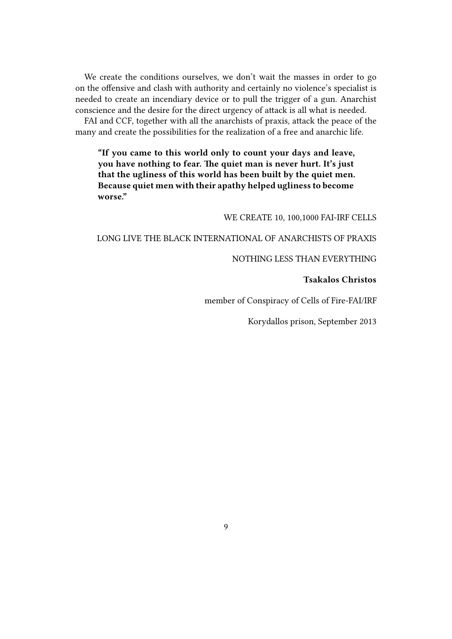We create the conditions ourselves, we don't wait the masses in order to go on the offensive and clash with authority and certainly no violence's specialist is needed to create an incendiary device or to pull the trigger of a gun. Anarchist conscience and the desire for the direct urgency of attack is all what is needed.

FAI and CCF, together with all the anarchists of praxis, attack the peace of the many and create the possibilities for the realization of a free and anarchic life.

**"If you came to this world only to count your days and leave, you have nothing to fear. The quiet man is never hurt. It's just that the ugliness of this world has been built by the quiet men. Because quiet men with their apathy helped ugliness to become worse."**

WE CREATE 10, 100,1000 FAI-IRF CELLS

#### LONG LIVE THE BLACK INTERNATIONAL OF ANARCHISTS OF PRAXIS

#### NOTHING LESS THAN EVERYTHING

#### **Tsakalos Christοs**

member of Conspiracy of Cells of Fire-FAI/IRF

Korydallos prison, September 2013